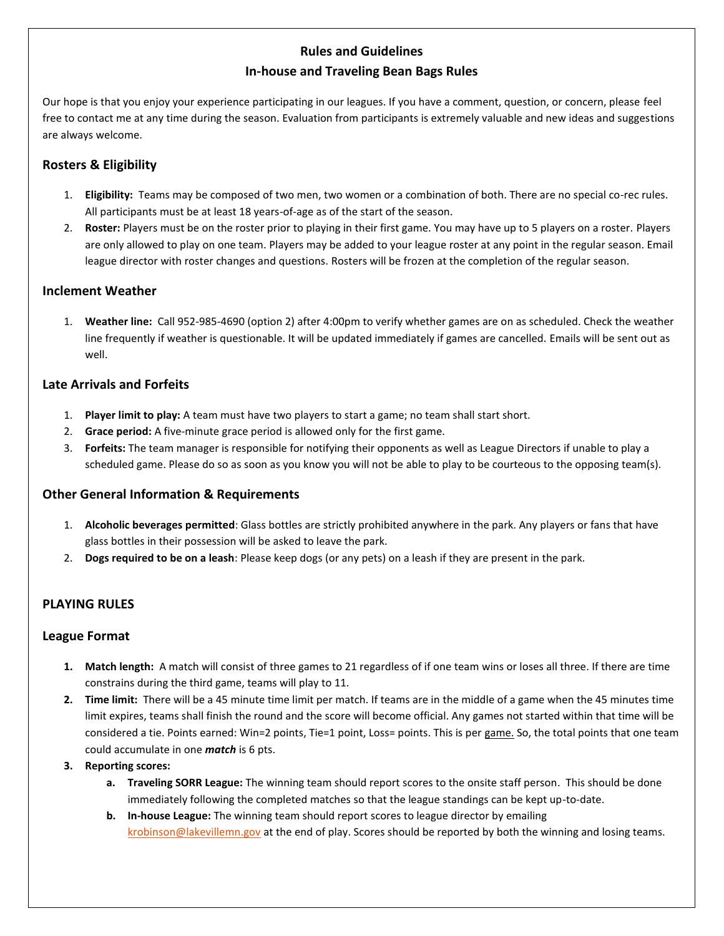# **Rules and Guidelines In-house and Traveling Bean Bags Rules**

Our hope is that you enjoy your experience participating in our leagues. If you have a comment, question, or concern, please feel free to contact me at any time during the season. Evaluation from participants is extremely valuable and new ideas and suggestions are always welcome.

### **Rosters & Eligibility**

- 1. **Eligibility:** Teams may be composed of two men, two women or a combination of both. There are no special co-rec rules. All participants must be at least 18 years-of-age as of the start of the season.
- 2. **Roster:** Players must be on the roster prior to playing in their first game. You may have up to 5 players on a roster. Players are only allowed to play on one team. Players may be added to your league roster at any point in the regular season. Email league director with roster changes and questions. Rosters will be frozen at the completion of the regular season.

### **Inclement Weather**

1. **Weather line:** Call 952-985-4690 (option 2) after 4:00pm to verify whether games are on as scheduled. Check the weather line frequently if weather is questionable. It will be updated immediately if games are cancelled. Emails will be sent out as well.

### **Late Arrivals and Forfeits**

- 1. **Player limit to play:** A team must have two players to start a game; no team shall start short.
- 2. **Grace period:** A five-minute grace period is allowed only for the first game.
- 3. **Forfeits:** The team manager is responsible for notifying their opponents as well as League Directors if unable to play a scheduled game. Please do so as soon as you know you will not be able to play to be courteous to the opposing team(s).

### **Other General Information & Requirements**

- 1. **Alcoholic beverages permitted**: Glass bottles are strictly prohibited anywhere in the park. Any players or fans that have glass bottles in their possession will be asked to leave the park.
- 2. **Dogs required to be on a leash**: Please keep dogs (or any pets) on a leash if they are present in the park.

## **PLAYING RULES**

### **League Format**

- **1. Match length:** A match will consist of three games to 21 regardless of if one team wins or loses all three. If there are time constrains during the third game, teams will play to 11.
- **2. Time limit:** There will be a 45 minute time limit per match. If teams are in the middle of a game when the 45 minutes time limit expires, teams shall finish the round and the score will become official. Any games not started within that time will be considered a tie. Points earned: Win=2 points, Tie=1 point, Loss= points. This is per game. So, the total points that one team could accumulate in one *match* is 6 pts.
- **3. Reporting scores:** 
	- **a. Traveling SORR League:** The winning team should report scores to the onsite staff person. This should be done immediately following the completed matches so that the league standings can be kept up-to-date.
	- **b. In-house League:** The winning team should report scores to league director by emailing [krobinson@lakevillemn.gov](mailto:krobinson@lakevillemn.gov) at the end of play. Scores should be reported by both the winning and losing teams.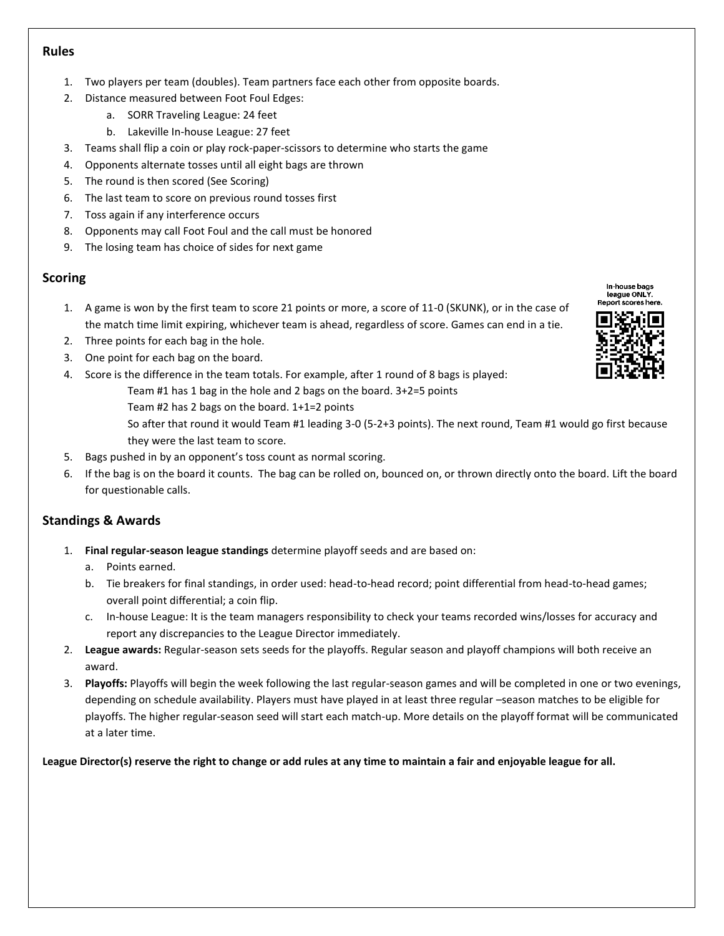#### **Rules**

- 1. Two players per team (doubles). Team partners face each other from opposite boards.
- 2. Distance measured between Foot Foul Edges:
	- a. SORR Traveling League: 24 feet
	- b. Lakeville In-house League: 27 feet
- 3. Teams shall flip a coin or play rock-paper-scissors to determine who starts the game
- 4. Opponents alternate tosses until all eight bags are thrown
- 5. The round is then scored (See Scoring)
- 6. The last team to score on previous round tosses first
- 7. Toss again if any interference occurs
- 8. Opponents may call Foot Foul and the call must be honored
- 9. The losing team has choice of sides for next game

### **Scoring**

- 1. A game is won by the first team to score 21 points or more, a score of 11-0 (SKUNK), or in the case of the match time limit expiring, whichever team is ahead, regardless of score. Games can end in a tie.
- 2. Three points for each bag in the hole.
- 3. One point for each bag on the board.
- 4. Score is the difference in the team totals. For example, after 1 round of 8 bags is played:
	- Team #1 has 1 bag in the hole and 2 bags on the board. 3+2=5 points
	- Team #2 has 2 bags on the board. 1+1=2 points
		- So after that round it would Team #1 leading 3-0 (5-2+3 points). The next round, Team #1 would go first because they were the last team to score.
- 5. Bags pushed in by an opponent's toss count as normal scoring.
- 6. If the bag is on the board it counts. The bag can be rolled on, bounced on, or thrown directly onto the board. Lift the board for questionable calls.

## **Standings & Awards**

- 1. **Final regular-season league standings** determine playoff seeds and are based on:
	- a. Points earned.
	- b. Tie breakers for final standings, in order used: head-to-head record; point differential from head-to-head games; overall point differential; a coin flip.
	- c. In-house League: It is the team managers responsibility to check your teams recorded wins/losses for accuracy and report any discrepancies to the League Director immediately.
- 2. **League awards:** Regular-season sets seeds for the playoffs. Regular season and playoff champions will both receive an award.
- 3. **Playoffs:** Playoffs will begin the week following the last regular-season games and will be completed in one or two evenings, depending on schedule availability. Players must have played in at least three regular –season matches to be eligible for playoffs. The higher regular-season seed will start each match-up. More details on the playoff format will be communicated at a later time.

**League Director(s) reserve the right to change or add rules at any time to maintain a fair and enjoyable league for all.** 



In-house bags